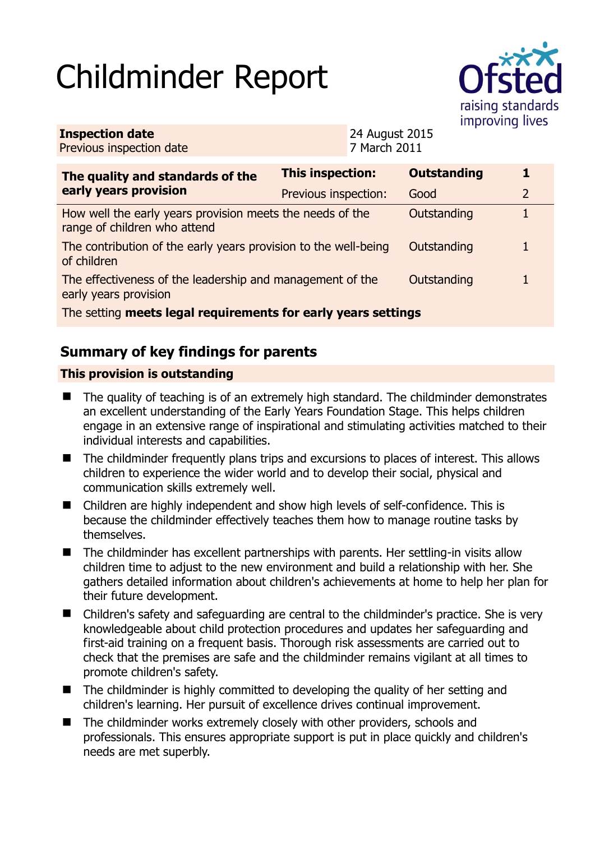# Childminder Report



| <b>Inspection date</b>   | <b>24 August 2015</b> |
|--------------------------|-----------------------|
| Previous inspection date | 7 March 2011          |
|                          |                       |

| The quality and standards of the<br>early years provision                                 | <b>This inspection:</b> | <b>Outstanding</b> |   |
|-------------------------------------------------------------------------------------------|-------------------------|--------------------|---|
|                                                                                           | Previous inspection:    | Good               | 2 |
| How well the early years provision meets the needs of the<br>range of children who attend |                         | Outstanding        |   |
| The contribution of the early years provision to the well-being<br>of children            |                         | Outstanding        | 1 |
| The effectiveness of the leadership and management of the<br>early years provision        |                         | Outstanding        |   |
| The setting meets legal requirements for early years settings                             |                         |                    |   |

# **Summary of key findings for parents**

## **This provision is outstanding**

- The quality of teaching is of an extremely high standard. The childminder demonstrates an excellent understanding of the Early Years Foundation Stage. This helps children engage in an extensive range of inspirational and stimulating activities matched to their individual interests and capabilities.
- The childminder frequently plans trips and excursions to places of interest. This allows children to experience the wider world and to develop their social, physical and communication skills extremely well.
- Children are highly independent and show high levels of self-confidence. This is because the childminder effectively teaches them how to manage routine tasks by themselves.
- The childminder has excellent partnerships with parents. Her settling-in visits allow children time to adjust to the new environment and build a relationship with her. She gathers detailed information about children's achievements at home to help her plan for their future development.
- Children's safety and safeguarding are central to the childminder's practice. She is very knowledgeable about child protection procedures and updates her safeguarding and first-aid training on a frequent basis. Thorough risk assessments are carried out to check that the premises are safe and the childminder remains vigilant at all times to promote children's safety.
- $\blacksquare$  The childminder is highly committed to developing the quality of her setting and children's learning. Her pursuit of excellence drives continual improvement.
- The childminder works extremely closely with other providers, schools and professionals. This ensures appropriate support is put in place quickly and children's needs are met superbly.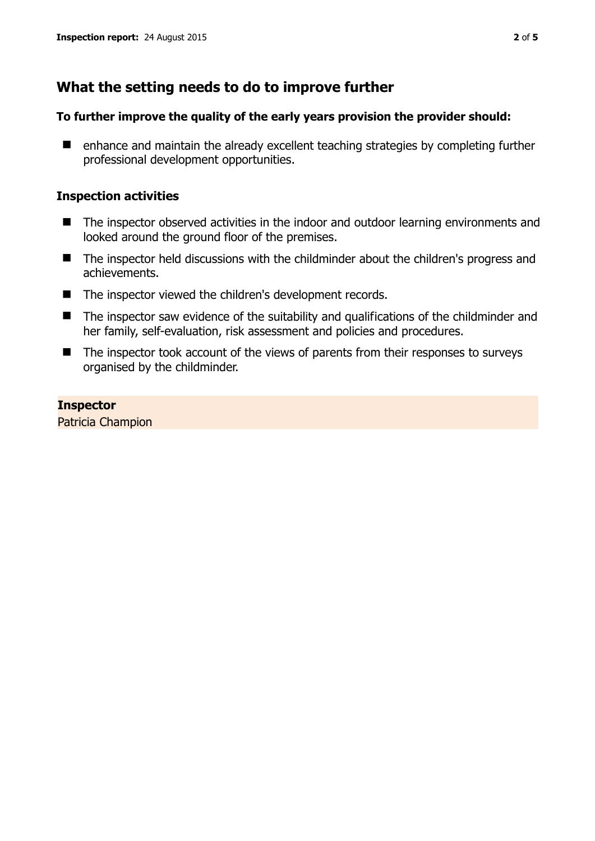## **What the setting needs to do to improve further**

## **To further improve the quality of the early years provision the provider should:**

■ enhance and maintain the already excellent teaching strategies by completing further professional development opportunities.

## **Inspection activities**

- The inspector observed activities in the indoor and outdoor learning environments and looked around the ground floor of the premises.
- The inspector held discussions with the childminder about the children's progress and achievements.
- The inspector viewed the children's development records.
- The inspector saw evidence of the suitability and qualifications of the childminder and her family, self-evaluation, risk assessment and policies and procedures.
- The inspector took account of the views of parents from their responses to surveys organised by the childminder.

**Inspector**  Patricia Champion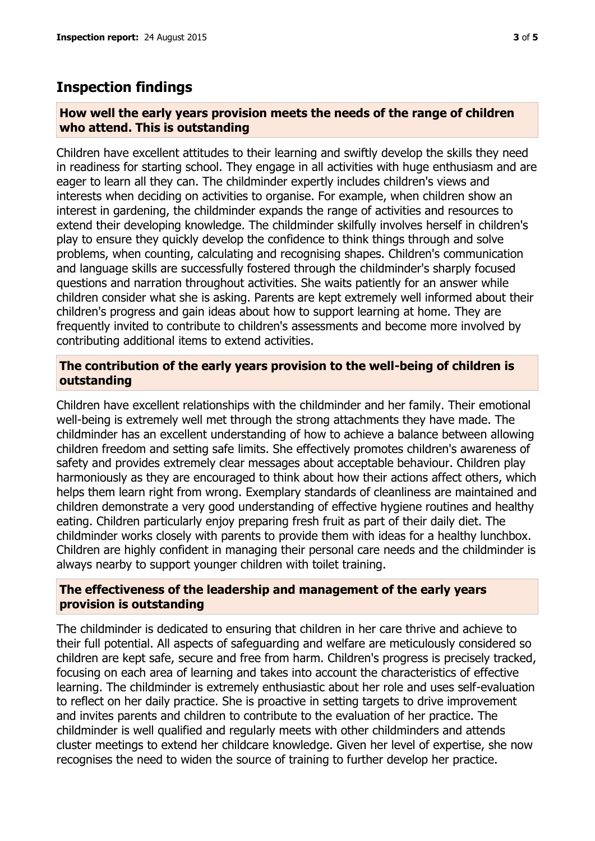## **Inspection findings**

#### **How well the early years provision meets the needs of the range of children who attend. This is outstanding**

Children have excellent attitudes to their learning and swiftly develop the skills they need in readiness for starting school. They engage in all activities with huge enthusiasm and are eager to learn all they can. The childminder expertly includes children's views and interests when deciding on activities to organise. For example, when children show an interest in gardening, the childminder expands the range of activities and resources to extend their developing knowledge. The childminder skilfully involves herself in children's play to ensure they quickly develop the confidence to think things through and solve problems, when counting, calculating and recognising shapes. Children's communication and language skills are successfully fostered through the childminder's sharply focused questions and narration throughout activities. She waits patiently for an answer while children consider what she is asking. Parents are kept extremely well informed about their children's progress and gain ideas about how to support learning at home. They are frequently invited to contribute to children's assessments and become more involved by contributing additional items to extend activities.

## **The contribution of the early years provision to the well-being of children is outstanding**

Children have excellent relationships with the childminder and her family. Their emotional well-being is extremely well met through the strong attachments they have made. The childminder has an excellent understanding of how to achieve a balance between allowing children freedom and setting safe limits. She effectively promotes children's awareness of safety and provides extremely clear messages about acceptable behaviour. Children play harmoniously as they are encouraged to think about how their actions affect others, which helps them learn right from wrong. Exemplary standards of cleanliness are maintained and children demonstrate a very good understanding of effective hygiene routines and healthy eating. Children particularly enjoy preparing fresh fruit as part of their daily diet. The childminder works closely with parents to provide them with ideas for a healthy lunchbox. Children are highly confident in managing their personal care needs and the childminder is always nearby to support younger children with toilet training.

## **The effectiveness of the leadership and management of the early years provision is outstanding**

The childminder is dedicated to ensuring that children in her care thrive and achieve to their full potential. All aspects of safeguarding and welfare are meticulously considered so children are kept safe, secure and free from harm. Children's progress is precisely tracked, focusing on each area of learning and takes into account the characteristics of effective learning. The childminder is extremely enthusiastic about her role and uses self-evaluation to reflect on her daily practice. She is proactive in setting targets to drive improvement and invites parents and children to contribute to the evaluation of her practice. The childminder is well qualified and regularly meets with other childminders and attends cluster meetings to extend her childcare knowledge. Given her level of expertise, she now recognises the need to widen the source of training to further develop her practice.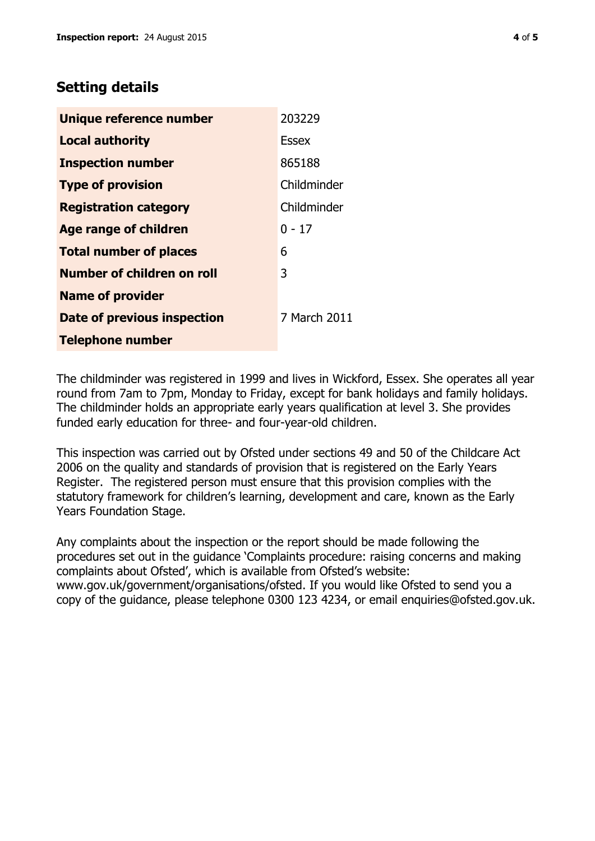# **Setting details**

| Unique reference number       | 203229       |
|-------------------------------|--------------|
| <b>Local authority</b>        | <b>Essex</b> |
| <b>Inspection number</b>      | 865188       |
| <b>Type of provision</b>      | Childminder  |
| <b>Registration category</b>  | Childminder  |
| <b>Age range of children</b>  | $0 - 17$     |
| <b>Total number of places</b> | 6            |
| Number of children on roll    | 3            |
| <b>Name of provider</b>       |              |
| Date of previous inspection   | 7 March 2011 |
| <b>Telephone number</b>       |              |

The childminder was registered in 1999 and lives in Wickford, Essex. She operates all year round from 7am to 7pm, Monday to Friday, except for bank holidays and family holidays. The childminder holds an appropriate early years qualification at level 3. She provides funded early education for three- and four-year-old children.

This inspection was carried out by Ofsted under sections 49 and 50 of the Childcare Act 2006 on the quality and standards of provision that is registered on the Early Years Register. The registered person must ensure that this provision complies with the statutory framework for children's learning, development and care, known as the Early Years Foundation Stage.

Any complaints about the inspection or the report should be made following the procedures set out in the guidance 'Complaints procedure: raising concerns and making complaints about Ofsted', which is available from Ofsted's website: www.gov.uk/government/organisations/ofsted. If you would like Ofsted to send you a copy of the guidance, please telephone 0300 123 4234, or email enquiries@ofsted.gov.uk.